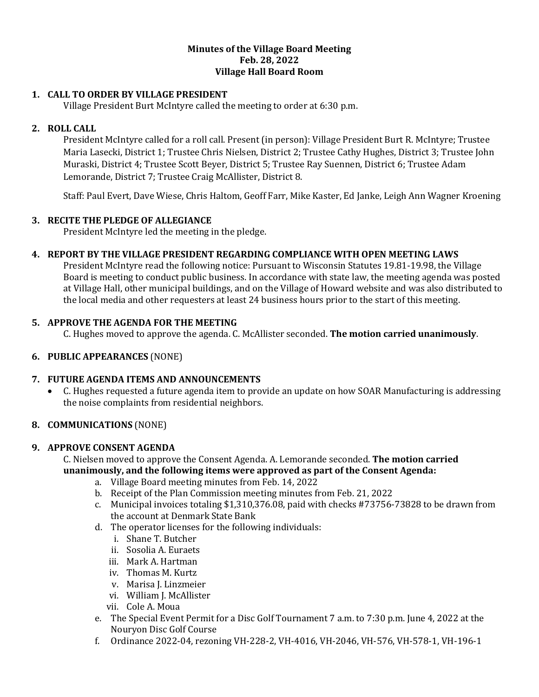#### **Minutes of the Village Board Meeting Feb. 28, 2022 Village Hall Board Room**

# **1. CALL TO ORDER BY VILLAGE PRESIDENT**

Village President Burt McIntyre called the meeting to order at 6:30 p.m.

## **2. ROLL CALL**

President McIntyre called for a roll call. Present (in person): Village President Burt R. McIntyre; Trustee Maria Lasecki, District 1; Trustee Chris Nielsen, District 2; Trustee Cathy Hughes, District 3; Trustee John Muraski, District 4; Trustee Scott Beyer, District 5; Trustee Ray Suennen, District 6; Trustee Adam Lemorande, District 7; Trustee Craig McAllister, District 8.

Staff: Paul Evert, Dave Wiese, Chris Haltom, Geoff Farr, Mike Kaster, Ed Janke, Leigh Ann Wagner Kroening

## **3. RECITE THE PLEDGE OF ALLEGIANCE**

President McIntyre led the meeting in the pledge.

# **4. REPORT BY THE VILLAGE PRESIDENT REGARDING COMPLIANCE WITH OPEN MEETING LAWS**

President McIntyre read the following notice: Pursuant to Wisconsin Statutes 19.81-19.98, the Village Board is meeting to conduct public business. In accordance with state law, the meeting agenda was posted at Village Hall, other municipal buildings, and on the Village of Howard website and was also distributed to the local media and other requesters at least 24 business hours prior to the start of this meeting.

## **5. APPROVE THE AGENDA FOR THE MEETING**

C. Hughes moved to approve the agenda. C. McAllister seconded. **The motion carried unanimously**.

## **6. PUBLIC APPEARANCES** (NONE)

## **7. FUTURE AGENDA ITEMS AND ANNOUNCEMENTS**

• C. Hughes requested a future agenda item to provide an update on how SOAR Manufacturing is addressing the noise complaints from residential neighbors.

## **8. COMMUNICATIONS** (NONE)

## **9. APPROVE CONSENT AGENDA**

C. Nielsen moved to approve the Consent Agenda. A. Lemorande seconded. **The motion carried unanimously, and the following items were approved as part of the Consent Agenda:**

- a. Village Board meeting minutes from Feb. 14, 2022
- b. Receipt of the Plan Commission meeting minutes from Feb. 21, 2022
- c. Municipal invoices totaling \$1,310,376.08, paid with checks #73756-73828 to be drawn from the account at Denmark State Bank
- d. The operator licenses for the following individuals:
	- i. Shane T. Butcher
	- ii. Sosolia A. Euraets
	- iii. Mark A. Hartman
	- iv. Thomas M. Kurtz
	- v. Marisa J. Linzmeier
	- vi. William J. McAllister
	- vii. Cole A. Moua
- e. The Special Event Permit for a Disc Golf Tournament 7 a.m. to 7:30 p.m. June 4, 2022 at the Nouryon Disc Golf Course
- f. Ordinance 2022-04, rezoning VH-228-2, VH-4016, VH-2046, VH-576, VH-578-1, VH-196-1